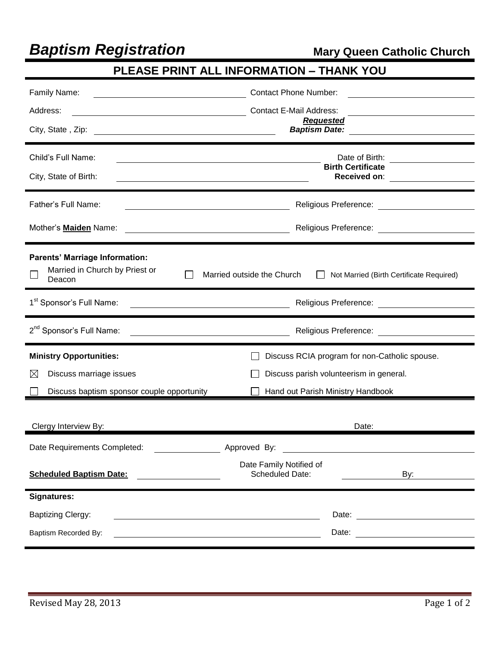# **Baptism Registration** Mary Queen Catholic Church

|  | <b>PLEASE PRINT ALL INFORMATION - THANK YOU</b> |  |
|--|-------------------------------------------------|--|
|--|-------------------------------------------------|--|

| Family Name:<br><u> 2008 - Jan Barnett, fransk politik (d. 1888)</u>                                                                         | <b>Contact Phone Number:</b>                                                                                                                                      | <u> 1989 - John Stein, Amerikaansk politiker (</u>                                                                                                                                                                                                                                                                                                      |  |  |
|----------------------------------------------------------------------------------------------------------------------------------------------|-------------------------------------------------------------------------------------------------------------------------------------------------------------------|---------------------------------------------------------------------------------------------------------------------------------------------------------------------------------------------------------------------------------------------------------------------------------------------------------------------------------------------------------|--|--|
| Address:                                                                                                                                     | <b>Contact E-Mail Address:</b>                                                                                                                                    |                                                                                                                                                                                                                                                                                                                                                         |  |  |
|                                                                                                                                              | <b>Requested</b><br><b>Baptism Date:</b>                                                                                                                          |                                                                                                                                                                                                                                                                                                                                                         |  |  |
| Child's Full Name:<br><u> 1989 - Johann Stoff, deutscher Stoffen und der Stoffen und der Stoffen und der Stoffen und der Stoffen und der</u> |                                                                                                                                                                   | Date of Birth:                                                                                                                                                                                                                                                                                                                                          |  |  |
| City, State of Birth:                                                                                                                        | <b>Birth Certificate</b><br>Received on:<br><u> 1989 - Johann Barbara, martin amerikan basar dan berasal dan berasal dalam basar dalam basar dalam basar dala</u> |                                                                                                                                                                                                                                                                                                                                                         |  |  |
| Father's Full Name:                                                                                                                          |                                                                                                                                                                   | Religious Preference: <u>contracts</u>                                                                                                                                                                                                                                                                                                                  |  |  |
| Mother's <b>Maiden</b> Name:                                                                                                                 |                                                                                                                                                                   |                                                                                                                                                                                                                                                                                                                                                         |  |  |
| <b>Parents' Marriage Information:</b><br>Married in Church by Priest or<br>Deacon                                                            | Married outside the Church                                                                                                                                        | Not Married (Birth Certificate Required)                                                                                                                                                                                                                                                                                                                |  |  |
| 1 <sup>st</sup> Sponsor's Full Name:<br><u> 1989 - Johann Stoff, fransk politik (d. 1989)</u>                                                |                                                                                                                                                                   | Religious Preference: <u>_________________________________</u>                                                                                                                                                                                                                                                                                          |  |  |
| 2 <sup>nd</sup> Sponsor's Full Name:                                                                                                         |                                                                                                                                                                   | Religious Preference: Networks and the set of the set of the set of the set of the set of the set of the set o                                                                                                                                                                                                                                          |  |  |
| <b>Ministry Opportunities:</b>                                                                                                               | Discuss RCIA program for non-Catholic spouse.                                                                                                                     |                                                                                                                                                                                                                                                                                                                                                         |  |  |
| $\bowtie$<br>Discuss marriage issues                                                                                                         | Discuss parish volunteerism in general.                                                                                                                           |                                                                                                                                                                                                                                                                                                                                                         |  |  |
| Discuss baptism sponsor couple opportunity                                                                                                   | Hand out Parish Ministry Handbook                                                                                                                                 |                                                                                                                                                                                                                                                                                                                                                         |  |  |
| Clergy Interview By:                                                                                                                         |                                                                                                                                                                   | Date:                                                                                                                                                                                                                                                                                                                                                   |  |  |
| Date Requirements Completed:                                                                                                                 | Approved By:                                                                                                                                                      |                                                                                                                                                                                                                                                                                                                                                         |  |  |
| <b>Scheduled Baptism Date:</b><br><u> 1980 - Johann Barbara, martin a</u>                                                                    | Date Family Notified of<br><b>Scheduled Date:</b>                                                                                                                 | By: the contract of the contract of the contract of the contract of the contract of the contract of the contract of the contract of the contract of the contract of the contract of the contract of the contract of the contra<br><u>and the state of the state of the state of the state of the state of the state of the state of the state of th</u> |  |  |
| <b>Signatures:</b>                                                                                                                           |                                                                                                                                                                   |                                                                                                                                                                                                                                                                                                                                                         |  |  |
| <b>Baptizing Clergy:</b>                                                                                                                     | Date:                                                                                                                                                             |                                                                                                                                                                                                                                                                                                                                                         |  |  |
| Baptism Recorded By:                                                                                                                         | Date:                                                                                                                                                             |                                                                                                                                                                                                                                                                                                                                                         |  |  |